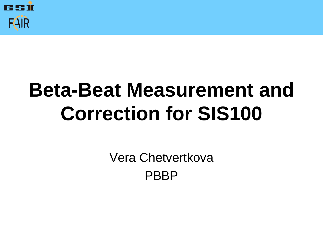

## **Beta-Beat Measurement and Correction for SIS100**

Vera Chetvertkova PBBP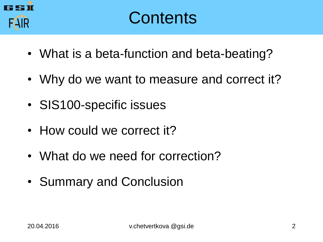

- What is a beta-function and beta-beating?
- Why do we want to measure and correct it?
- SIS100-specific issues
- How could we correct it?
- What do we need for correction?
- Summary and Conclusion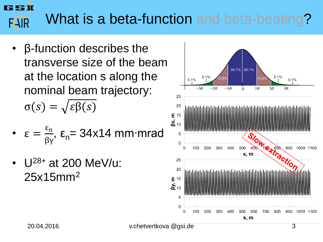20.04.2016 v.chetvertkova @gsi.de 3

- β-function describes the transverse size of the beam at the location s along the nominal beam trajectory:  $\sigma(s) = \sqrt{\varepsilon \beta(s)}$
- $\epsilon =$  $\varepsilon_n$  $\frac{\varepsilon_n}{\beta \gamma}$ , ε<sub>n</sub>= 34x14 mm∙mrad
- $U^{28+}$  at 200 MeV/u: 25x15mm<sup>2</sup>



#### What is a beta-function and beta-beating? **FAIR**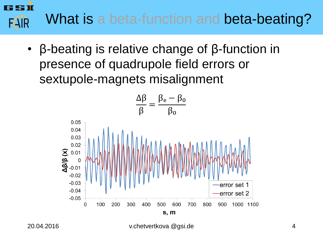#### 55 TC What is a beta-function and beta-beating? **FAIR**

• β-beating is relative change of β-function in presence of quadrupole field errors or sextupole-magnets misalignment

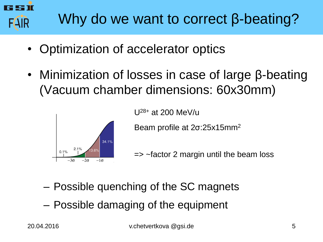

- Optimization of accelerator optics
- Minimization of losses in case of large β-beating (Vacuum chamber dimensions: 60x30mm)



U28+ at 200 MeV/u

Beam profile at 2σ:25x15mm<sup>2</sup>

=> ~factor 2 margin until the beam loss

- Possible quenching of the SC magnets
- Possible damaging of the equipment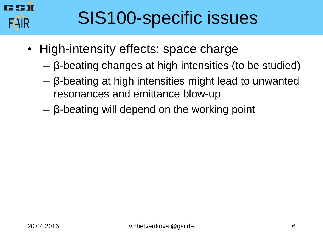

### SIS100-specific issues

- High-intensity effects: space charge
	- β-beating changes at high intensities (to be studied)
	- β-beating at high intensities might lead to unwanted resonances and emittance blow-up
	- β-beating will depend on the working point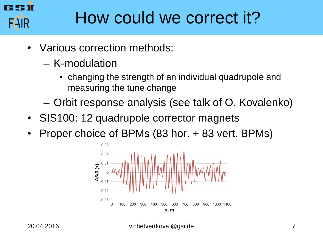

#### How could we correct it?

- Various correction methods:
	- K-modulation
		- changing the strength of an individual quadrupole and measuring the tune change
	- Orbit response analysis (see talk of O. Kovalenko)
- SIS100: 12 quadrupole corrector magnets
- Proper choice of BPMs (83 hor. + 83 vert. BPMs)

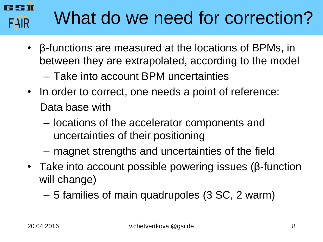# What do we need for correction?

- β-functions are measured at the locations of BPMs, in between they are extrapolated, according to the model
	- Take into account BPM uncertainties
- In order to correct, one needs a point of reference: Data base with
	- locations of the accelerator components and uncertainties of their positioning
	- magnet strengths and uncertainties of the field
- Take into account possible powering issues (β-function will change)
	- 5 families of main quadrupoles (3 SC, 2 warm)

**FAIR**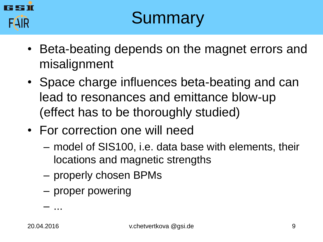

#### **Summary**

- Beta-beating depends on the magnet errors and misalignment
- Space charge influences beta-beating and can lead to resonances and emittance blow-up (effect has to be thoroughly studied)
- For correction one will need
	- model of SIS100, i.e. data base with elements, their locations and magnetic strengths
	- properly chosen BPMs
	- proper powering

– ...